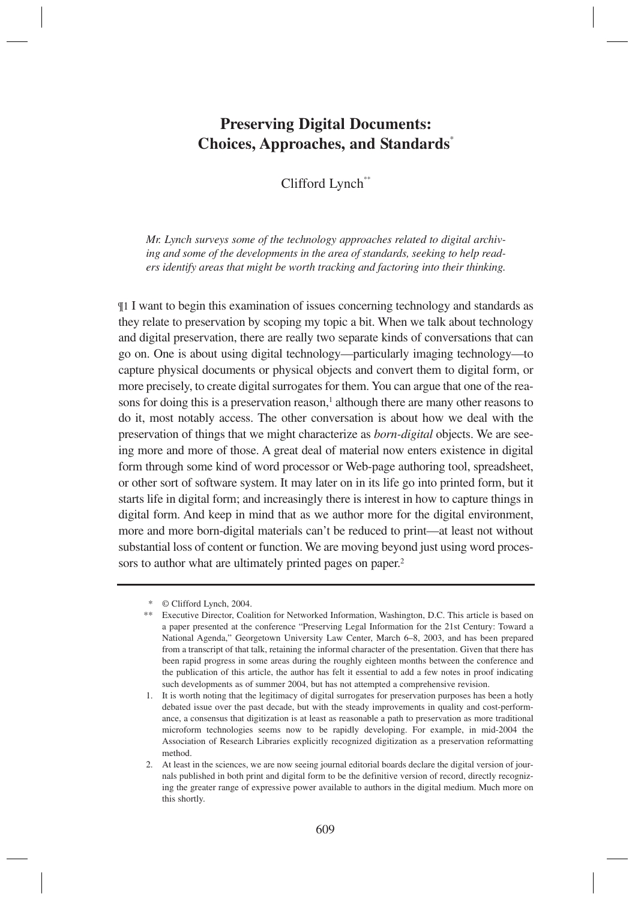# **Preserving Digital Documents: Choices, Approaches, and Standards**\*

Clifford Lynch\*\*

*Mr. Lynch surveys some of the technology approaches related to digital archiving and some of the developments in the area of standards, seeking to help readers identify areas that might be worth tracking and factoring into their thinking.*

¶1 I want to begin this examination of issues concerning technology and standards as they relate to preservation by scoping my topic a bit. When we talk about technology and digital preservation, there are really two separate kinds of conversations that can go on. One is about using digital technology—particularly imaging technology—to capture physical documents or physical objects and convert them to digital form, or more precisely, to create digital surrogates for them. You can argue that one of the reasons for doing this is a preservation reason,<sup>1</sup> although there are many other reasons to do it, most notably access. The other conversation is about how we deal with the preservation of things that we might characterize as *born-digital* objects. We are seeing more and more of those. A great deal of material now enters existence in digital form through some kind of word processor or Web-page authoring tool, spreadsheet, or other sort of software system. It may later on in its life go into printed form, but it starts life in digital form; and increasingly there is interest in how to capture things in digital form. And keep in mind that as we author more for the digital environment, more and more born-digital materials can't be reduced to print—at least not without substantial loss of content or function. We are moving beyond just using word processors to author what are ultimately printed pages on paper.<sup>2</sup>

<sup>\* ©</sup> Clifford Lynch, 2004.

<sup>\*\*</sup> Executive Director, Coalition for Networked Information, Washington, D.C. This article is based on a paper presented at the conference "Preserving Legal Information for the 21st Century: Toward a National Agenda," Georgetown University Law Center, March 6–8, 2003, and has been prepared from a transcript of that talk, retaining the informal character of the presentation. Given that there has been rapid progress in some areas during the roughly eighteen months between the conference and the publication of this article, the author has felt it essential to add a few notes in proof indicating such developments as of summer 2004, but has not attempted a comprehensive revision.

<sup>1.</sup> It is worth noting that the legitimacy of digital surrogates for preservation purposes has been a hotly debated issue over the past decade, but with the steady improvements in quality and cost-performance, a consensus that digitization is at least as reasonable a path to preservation as more traditional microform technologies seems now to be rapidly developing. For example, in mid-2004 the Association of Research Libraries explicitly recognized digitization as a preservation reformatting method.

<sup>2.</sup> At least in the sciences, we are now seeing journal editorial boards declare the digital version of journals published in both print and digital form to be the definitive version of record, directly recognizing the greater range of expressive power available to authors in the digital medium. Much more on this shortly.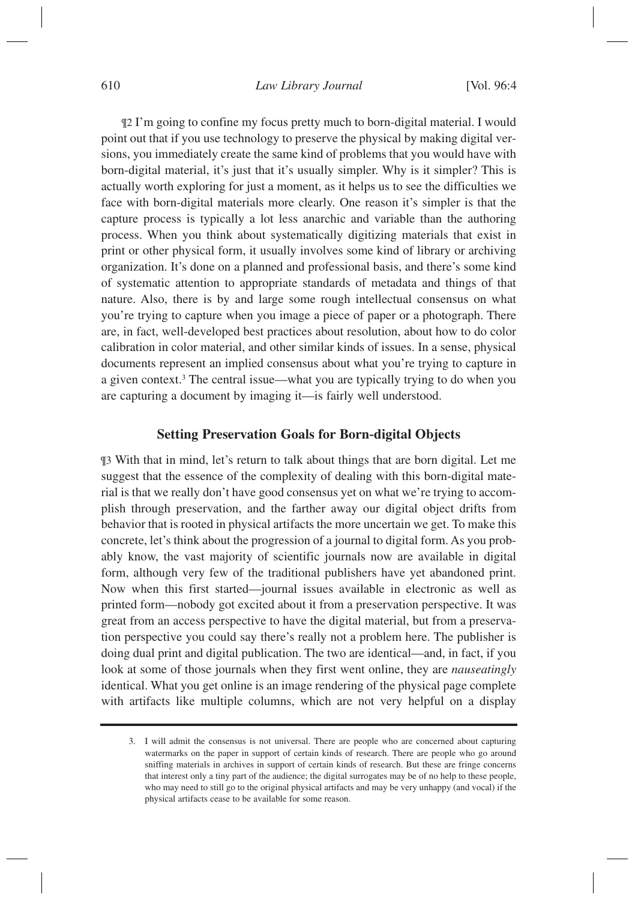#### *Law Library Journal* [Vol. 96:4

¶2 I'm going to confine my focus pretty much to born-digital material. I would point out that if you use technology to preserve the physical by making digital versions, you immediately create the same kind of problems that you would have with born-digital material, it's just that it's usually simpler. Why is it simpler? This is actually worth exploring for just a moment, as it helps us to see the difficulties we face with born-digital materials more clearly. One reason it's simpler is that the capture process is typically a lot less anarchic and variable than the authoring process. When you think about systematically digitizing materials that exist in print or other physical form, it usually involves some kind of library or archiving organization. It's done on a planned and professional basis, and there's some kind of systematic attention to appropriate standards of metadata and things of that nature. Also, there is by and large some rough intellectual consensus on what you're trying to capture when you image a piece of paper or a photograph. There are, in fact, well-developed best practices about resolution, about how to do color calibration in color material, and other similar kinds of issues. In a sense, physical documents represent an implied consensus about what you're trying to capture in a given context.<sup>3</sup> The central issue—what you are typically trying to do when you are capturing a document by imaging it—is fairly well understood.

## **Setting Preservation Goals for Born-digital Objects**

¶3 With that in mind, let's return to talk about things that are born digital. Let me suggest that the essence of the complexity of dealing with this born-digital material is that we really don't have good consensus yet on what we're trying to accomplish through preservation, and the farther away our digital object drifts from behavior that is rooted in physical artifacts the more uncertain we get. To make this concrete, let's think about the progression of a journal to digital form. As you probably know, the vast majority of scientific journals now are available in digital form, although very few of the traditional publishers have yet abandoned print. Now when this first started—journal issues available in electronic as well as printed form—nobody got excited about it from a preservation perspective. It was great from an access perspective to have the digital material, but from a preservation perspective you could say there's really not a problem here. The publisher is doing dual print and digital publication. The two are identical—and, in fact, if you look at some of those journals when they first went online, they are *nauseatingly* identical. What you get online is an image rendering of the physical page complete with artifacts like multiple columns, which are not very helpful on a display

<sup>3.</sup> I will admit the consensus is not universal. There are people who are concerned about capturing watermarks on the paper in support of certain kinds of research. There are people who go around sniffing materials in archives in support of certain kinds of research. But these are fringe concerns that interest only a tiny part of the audience; the digital surrogates may be of no help to these people, who may need to still go to the original physical artifacts and may be very unhappy (and vocal) if the physical artifacts cease to be available for some reason.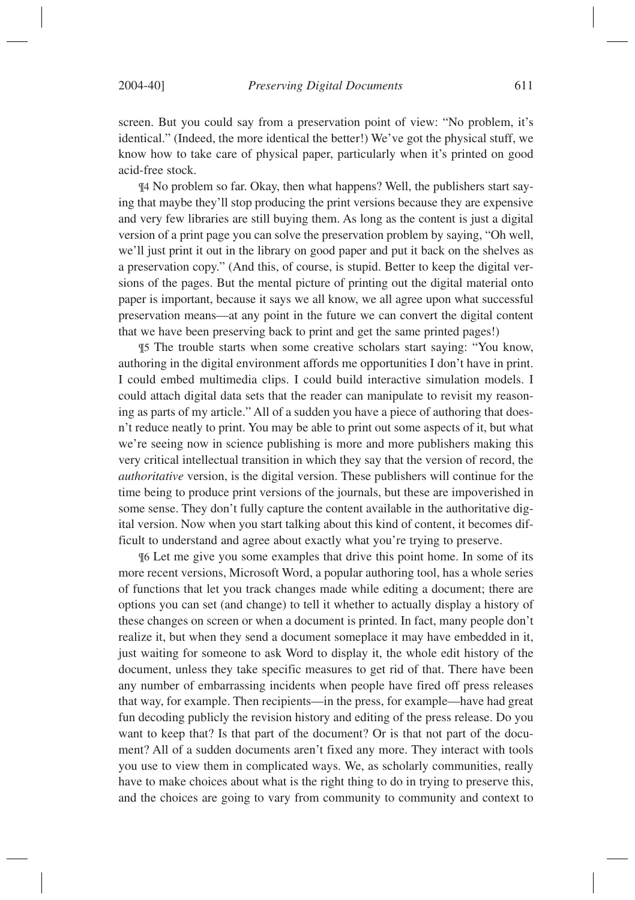screen. But you could say from a preservation point of view: "No problem, it's identical." (Indeed, the more identical the better!) We've got the physical stuff, we know how to take care of physical paper, particularly when it's printed on good acid-free stock.

¶4 No problem so far. Okay, then what happens? Well, the publishers start saying that maybe they'll stop producing the print versions because they are expensive and very few libraries are still buying them. As long as the content is just a digital version of a print page you can solve the preservation problem by saying, "Oh well, we'll just print it out in the library on good paper and put it back on the shelves as a preservation copy." (And this, of course, is stupid. Better to keep the digital versions of the pages. But the mental picture of printing out the digital material onto paper is important, because it says we all know, we all agree upon what successful preservation means—at any point in the future we can convert the digital content that we have been preserving back to print and get the same printed pages!)

¶5 The trouble starts when some creative scholars start saying: "You know, authoring in the digital environment affords me opportunities I don't have in print. I could embed multimedia clips. I could build interactive simulation models. I could attach digital data sets that the reader can manipulate to revisit my reasoning as parts of my article." All of a sudden you have a piece of authoring that doesn't reduce neatly to print. You may be able to print out some aspects of it, but what we're seeing now in science publishing is more and more publishers making this very critical intellectual transition in which they say that the version of record, the *authoritative* version, is the digital version. These publishers will continue for the time being to produce print versions of the journals, but these are impoverished in some sense. They don't fully capture the content available in the authoritative digital version. Now when you start talking about this kind of content, it becomes difficult to understand and agree about exactly what you're trying to preserve.

¶6 Let me give you some examples that drive this point home. In some of its more recent versions, Microsoft Word, a popular authoring tool, has a whole series of functions that let you track changes made while editing a document; there are options you can set (and change) to tell it whether to actually display a history of these changes on screen or when a document is printed. In fact, many people don't realize it, but when they send a document someplace it may have embedded in it, just waiting for someone to ask Word to display it, the whole edit history of the document, unless they take specific measures to get rid of that. There have been any number of embarrassing incidents when people have fired off press releases that way, for example. Then recipients—in the press, for example—have had great fun decoding publicly the revision history and editing of the press release. Do you want to keep that? Is that part of the document? Or is that not part of the document? All of a sudden documents aren't fixed any more. They interact with tools you use to view them in complicated ways. We, as scholarly communities, really have to make choices about what is the right thing to do in trying to preserve this, and the choices are going to vary from community to community and context to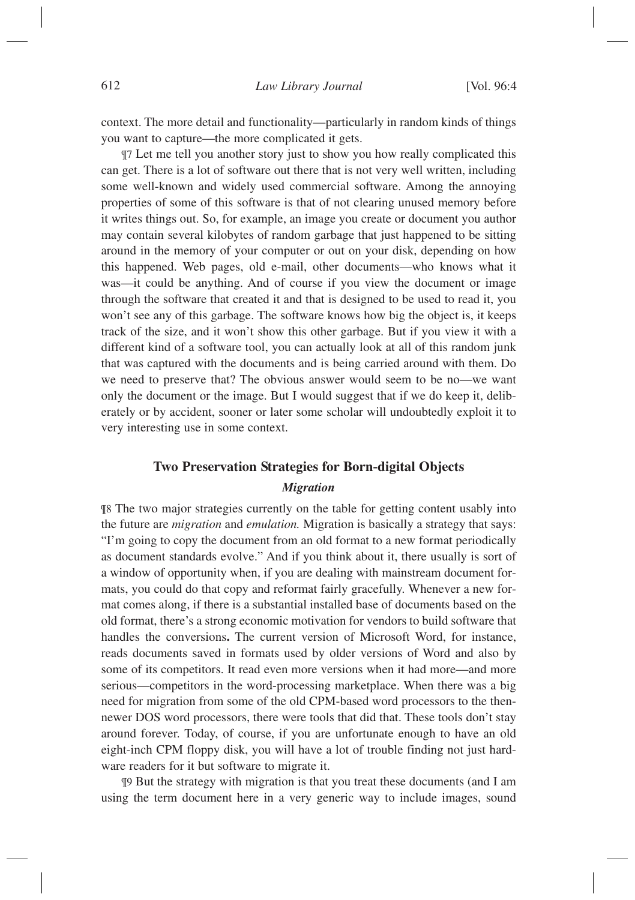context. The more detail and functionality—particularly in random kinds of things you want to capture—the more complicated it gets.

¶7 Let me tell you another story just to show you how really complicated this can get. There is a lot of software out there that is not very well written, including some well-known and widely used commercial software. Among the annoying properties of some of this software is that of not clearing unused memory before it writes things out. So, for example, an image you create or document you author may contain several kilobytes of random garbage that just happened to be sitting around in the memory of your computer or out on your disk, depending on how this happened. Web pages, old e-mail, other documents—who knows what it was—it could be anything. And of course if you view the document or image through the software that created it and that is designed to be used to read it, you won't see any of this garbage. The software knows how big the object is, it keeps track of the size, and it won't show this other garbage. But if you view it with a different kind of a software tool, you can actually look at all of this random junk that was captured with the documents and is being carried around with them. Do we need to preserve that? The obvious answer would seem to be no—we want only the document or the image. But I would suggest that if we do keep it, deliberately or by accident, sooner or later some scholar will undoubtedly exploit it to very interesting use in some context.

# **Two Preservation Strategies for Born-digital Objects**

#### *Migration*

¶8 The two major strategies currently on the table for getting content usably into the future are *migration* and *emulation.* Migration is basically a strategy that says: "I'm going to copy the document from an old format to a new format periodically as document standards evolve." And if you think about it, there usually is sort of a window of opportunity when, if you are dealing with mainstream document formats, you could do that copy and reformat fairly gracefully. Whenever a new format comes along, if there is a substantial installed base of documents based on the old format, there's a strong economic motivation for vendors to build software that handles the conversions**.** The current version of Microsoft Word, for instance, reads documents saved in formats used by older versions of Word and also by some of its competitors. It read even more versions when it had more—and more serious—competitors in the word-processing marketplace. When there was a big need for migration from some of the old CPM-based word processors to the thennewer DOS word processors, there were tools that did that. These tools don't stay around forever. Today, of course, if you are unfortunate enough to have an old eight-inch CPM floppy disk, you will have a lot of trouble finding not just hardware readers for it but software to migrate it.

¶9 But the strategy with migration is that you treat these documents (and I am using the term document here in a very generic way to include images, sound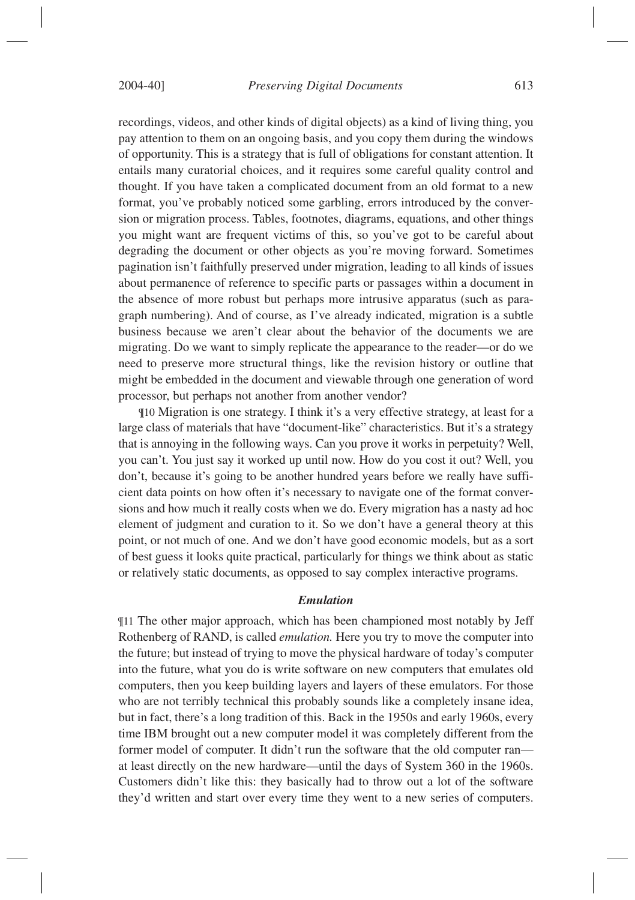recordings, videos, and other kinds of digital objects) as a kind of living thing, you pay attention to them on an ongoing basis, and you copy them during the windows of opportunity. This is a strategy that is full of obligations for constant attention. It entails many curatorial choices, and it requires some careful quality control and thought. If you have taken a complicated document from an old format to a new format, you've probably noticed some garbling, errors introduced by the conversion or migration process. Tables, footnotes, diagrams, equations, and other things you might want are frequent victims of this, so you've got to be careful about degrading the document or other objects as you're moving forward. Sometimes pagination isn't faithfully preserved under migration, leading to all kinds of issues about permanence of reference to specific parts or passages within a document in the absence of more robust but perhaps more intrusive apparatus (such as paragraph numbering). And of course, as I've already indicated, migration is a subtle business because we aren't clear about the behavior of the documents we are migrating. Do we want to simply replicate the appearance to the reader—or do we

need to preserve more structural things, like the revision history or outline that might be embedded in the document and viewable through one generation of word processor, but perhaps not another from another vendor?

¶10 Migration is one strategy. I think it's a very effective strategy, at least for a large class of materials that have "document-like" characteristics. But it's a strategy that is annoying in the following ways. Can you prove it works in perpetuity? Well, you can't. You just say it worked up until now. How do you cost it out? Well, you don't, because it's going to be another hundred years before we really have sufficient data points on how often it's necessary to navigate one of the format conversions and how much it really costs when we do. Every migration has a nasty ad hoc element of judgment and curation to it. So we don't have a general theory at this point, or not much of one. And we don't have good economic models, but as a sort of best guess it looks quite practical, particularly for things we think about as static or relatively static documents, as opposed to say complex interactive programs.

#### *Emulation*

¶11 The other major approach, which has been championed most notably by Jeff Rothenberg of RAND, is called *emulation.* Here you try to move the computer into the future; but instead of trying to move the physical hardware of today's computer into the future, what you do is write software on new computers that emulates old computers, then you keep building layers and layers of these emulators. For those who are not terribly technical this probably sounds like a completely insane idea, but in fact, there's a long tradition of this. Back in the 1950s and early 1960s, every time IBM brought out a new computer model it was completely different from the former model of computer. It didn't run the software that the old computer ran at least directly on the new hardware—until the days of System 360 in the 1960s. Customers didn't like this: they basically had to throw out a lot of the software they'd written and start over every time they went to a new series of computers.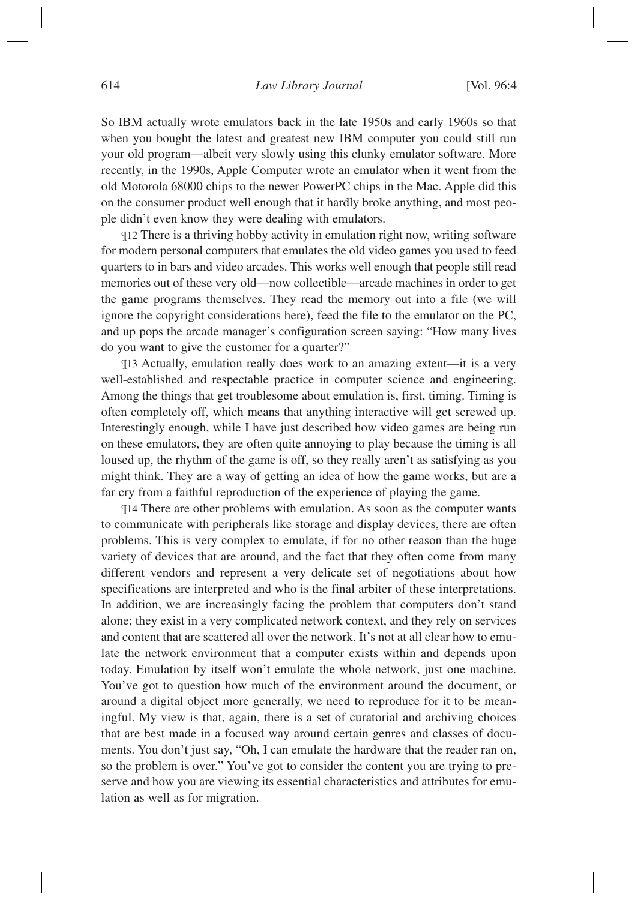So IBM actually wrote emulators back in the late 1950s and early 1960s so that when you bought the latest and greatest new IBM computer you could still run your old program—albeit very slowly using this clunky emulator software. More recently, in the 1990s, Apple Computer wrote an emulator when it went from the old Motorola 68000 chips to the newer PowerPC chips in the Mac. Apple did this on the consumer product well enough that it hardly broke anything, and most people didn't even know they were dealing with emulators.

¶12 There is a thriving hobby activity in emulation right now, writing software for modern personal computers that emulates the old video games you used to feed quarters to in bars and video arcades. This works well enough that people still read memories out of these very old—now collectible—arcade machines in order to get the game programs themselves. They read the memory out into a file (we will ignore the copyright considerations here), feed the file to the emulator on the PC, and up pops the arcade manager's configuration screen saying: "How many lives do you want to give the customer for a quarter?"

¶13 Actually, emulation really does work to an amazing extent—it is a very well-established and respectable practice in computer science and engineering. Among the things that get troublesome about emulation is, first, timing. Timing is often completely off, which means that anything interactive will get screwed up. Interestingly enough, while I have just described how video games are being run on these emulators, they are often quite annoying to play because the timing is all loused up, the rhythm of the game is off, so they really aren't as satisfying as you might think. They are a way of getting an idea of how the game works, but are a far cry from a faithful reproduction of the experience of playing the game.

¶14 There are other problems with emulation. As soon as the computer wants to communicate with peripherals like storage and display devices, there are often problems. This is very complex to emulate, if for no other reason than the huge variety of devices that are around, and the fact that they often come from many different vendors and represent a very delicate set of negotiations about how specifications are interpreted and who is the final arbiter of these interpretations. In addition, we are increasingly facing the problem that computers don't stand alone; they exist in a very complicated network context, and they rely on services and content that are scattered all over the network. It's not at all clear how to emulate the network environment that a computer exists within and depends upon today. Emulation by itself won't emulate the whole network, just one machine. You've got to question how much of the environment around the document, or around a digital object more generally, we need to reproduce for it to be meaningful. My view is that, again, there is a set of curatorial and archiving choices that are best made in a focused way around certain genres and classes of documents. You don't just say, "Oh, I can emulate the hardware that the reader ran on, so the problem is over." You've got to consider the content you are trying to preserve and how you are viewing its essential characteristics and attributes for emulation as well as for migration.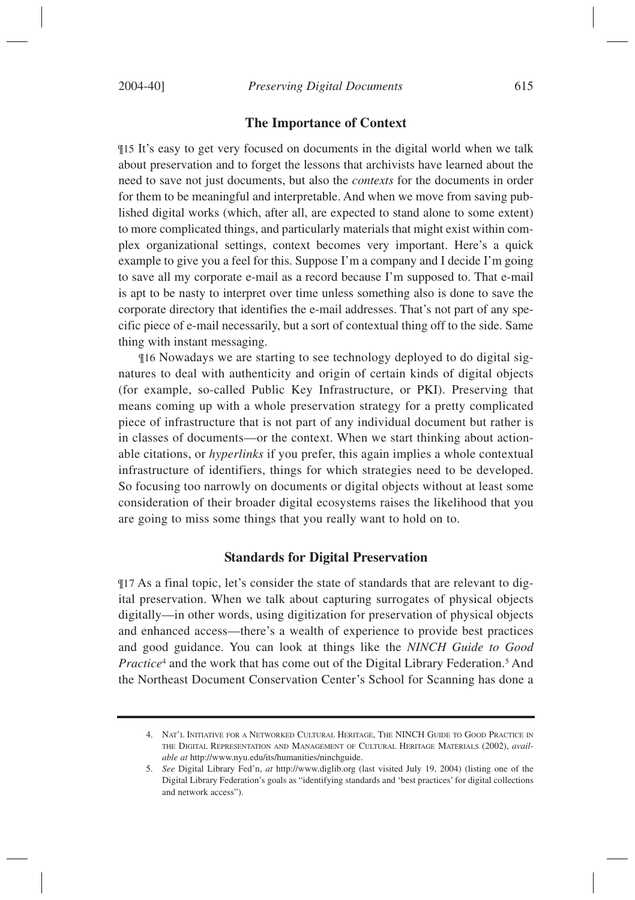#### **The Importance of Context**

¶15 It's easy to get very focused on documents in the digital world when we talk about preservation and to forget the lessons that archivists have learned about the need to save not just documents, but also the *contexts* for the documents in order for them to be meaningful and interpretable. And when we move from saving published digital works (which, after all, are expected to stand alone to some extent) to more complicated things, and particularly materials that might exist within complex organizational settings, context becomes very important. Here's a quick example to give you a feel for this. Suppose I'm a company and I decide I'm going to save all my corporate e-mail as a record because I'm supposed to. That e-mail is apt to be nasty to interpret over time unless something also is done to save the corporate directory that identifies the e-mail addresses. That's not part of any specific piece of e-mail necessarily, but a sort of contextual thing off to the side. Same thing with instant messaging.

¶16 Nowadays we are starting to see technology deployed to do digital signatures to deal with authenticity and origin of certain kinds of digital objects (for example, so-called Public Key Infrastructure, or PKI). Preserving that means coming up with a whole preservation strategy for a pretty complicated piece of infrastructure that is not part of any individual document but rather is in classes of documents—or the context. When we start thinking about actionable citations, or *hyperlinks* if you prefer, this again implies a whole contextual infrastructure of identifiers, things for which strategies need to be developed. So focusing too narrowly on documents or digital objects without at least some consideration of their broader digital ecosystems raises the likelihood that you are going to miss some things that you really want to hold on to.

#### **Standards for Digital Preservation**

¶17 As a final topic, let's consider the state of standards that are relevant to digital preservation. When we talk about capturing surrogates of physical objects digitally—in other words, using digitization for preservation of physical objects and enhanced access—there's a wealth of experience to provide best practices and good guidance. You can look at things like the *NINCH Guide to Good Practice*<sup>4</sup> and the work that has come out of the Digital Library Federation.<sup>5</sup> And the Northeast Document Conservation Center's School for Scanning has done a

<sup>4.</sup> NAT'L INITIATIVE FOR A NETWORKED CULTURAL HERITAGE, THE NINCH GUIDE TO GOOD PRACTICE IN THE DIGITAL REPRESENTATION AND MANAGEMENT OF CULTURAL HERITAGE MATERIALS (2002), *available at* http://www.nyu.edu/its/humanities/ninchguide.

<sup>5.</sup> *See* Digital Library Fed'n, *at* http://www.diglib.org (last visited July 19, 2004) (listing one of the Digital Library Federation's goals as "identifying standards and 'best practices' for digital collections and network access").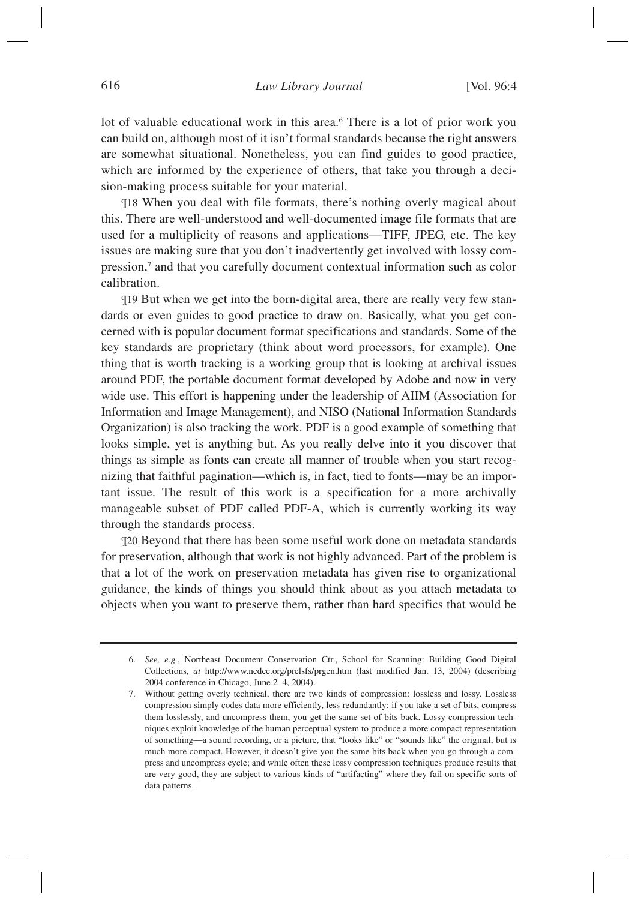lot of valuable educational work in this area.<sup>6</sup> There is a lot of prior work you can build on, although most of it isn't formal standards because the right answers are somewhat situational. Nonetheless, you can find guides to good practice, which are informed by the experience of others, that take you through a decision-making process suitable for your material.

¶18 When you deal with file formats, there's nothing overly magical about this. There are well-understood and well-documented image file formats that are used for a multiplicity of reasons and applications—TIFF, JPEG, etc. The key issues are making sure that you don't inadvertently get involved with lossy compression,7 and that you carefully document contextual information such as color calibration.

¶19 But when we get into the born-digital area, there are really very few standards or even guides to good practice to draw on. Basically, what you get concerned with is popular document format specifications and standards. Some of the key standards are proprietary (think about word processors, for example). One thing that is worth tracking is a working group that is looking at archival issues around PDF, the portable document format developed by Adobe and now in very wide use. This effort is happening under the leadership of AIIM (Association for Information and Image Management), and NISO (National Information Standards Organization) is also tracking the work. PDF is a good example of something that looks simple, yet is anything but. As you really delve into it you discover that things as simple as fonts can create all manner of trouble when you start recognizing that faithful pagination—which is, in fact, tied to fonts—may be an important issue. The result of this work is a specification for a more archivally manageable subset of PDF called PDF-A, which is currently working its way through the standards process.

¶20 Beyond that there has been some useful work done on metadata standards for preservation, although that work is not highly advanced. Part of the problem is that a lot of the work on preservation metadata has given rise to organizational guidance, the kinds of things you should think about as you attach metadata to objects when you want to preserve them, rather than hard specifics that would be

<sup>6.</sup> *See, e.g.*, Northeast Document Conservation Ctr., School for Scanning: Building Good Digital Collections, *at* http://www.nedcc.org/prelsfs/prgen.htm (last modified Jan. 13, 2004) (describing 2004 conference in Chicago, June 2–4, 2004).

<sup>7.</sup> Without getting overly technical, there are two kinds of compression: lossless and lossy. Lossless compression simply codes data more efficiently, less redundantly: if you take a set of bits, compress them losslessly, and uncompress them, you get the same set of bits back. Lossy compression techniques exploit knowledge of the human perceptual system to produce a more compact representation of something—a sound recording, or a picture, that "looks like" or "sounds like" the original, but is much more compact. However, it doesn't give you the same bits back when you go through a compress and uncompress cycle; and while often these lossy compression techniques produce results that are very good, they are subject to various kinds of "artifacting" where they fail on specific sorts of data patterns.